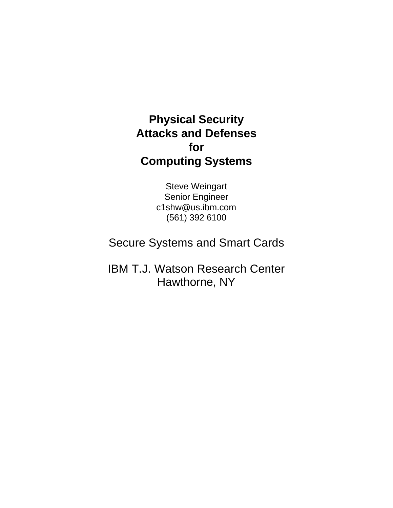#### **Physical Security Attacks and Defenses for Computing Systems**

Steve Weingart Senior Engineer c1shw@us.ibm.com (561) 392 6100

Secure Systems and Smart Cards

IBM T.J. Watson Research Center Hawthorne, NY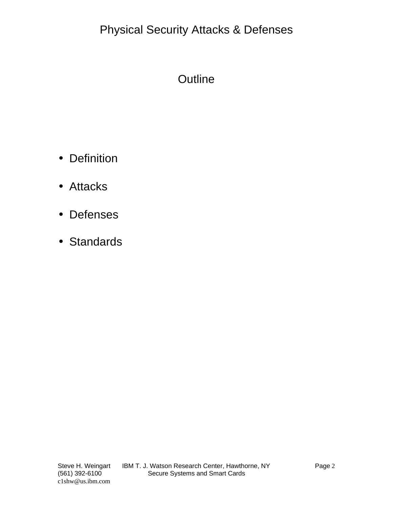# Physical Security Attacks & Defenses

## **Outline**

- Definition
- Attacks
- Defenses
- Standards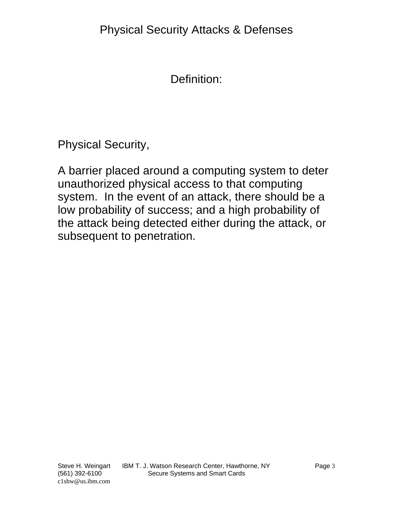Definition:

Physical Security,

A barrier placed around a computing system to deter unauthorized physical access to that computing system. In the event of an attack, there should be a low probability of success; and a high probability of the attack being detected either during the attack, or subsequent to penetration.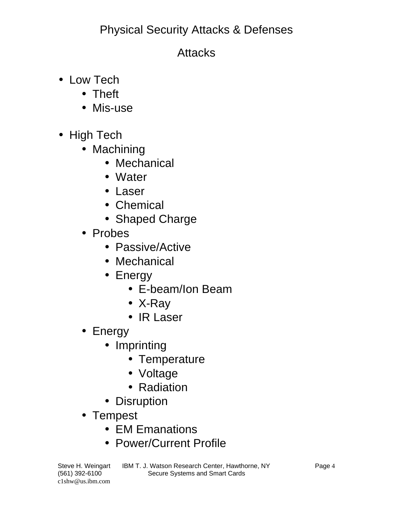# Physical Security Attacks & Defenses

#### **Attacks**

- Low Tech
	- Theft
	- Mis-use
- High Tech
	- Machining
		- Mechanical
		- Water
		- Laser
		- Chemical
		- Shaped Charge
	- Probes
		- Passive/Active
		- Mechanical
		- Energy
			- E-beam/Ion Beam
			- X-Ray
			- IR Laser
	- Energy
		- Imprinting
			- Temperature
			- Voltage
			- Radiation
		- Disruption
	- Tempest
		- EM Emanations
		- Power/Current Profile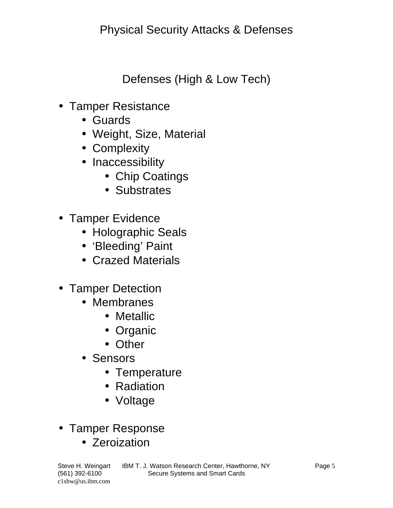Defenses (High & Low Tech)

- Tamper Resistance
	- Guards
	- Weight, Size, Material
	- Complexity
	- Inaccessibility
		- Chip Coatings
		- Substrates
- Tamper Evidence
	- Holographic Seals
	- 'Bleeding' Paint
	- Crazed Materials
- Tamper Detection
	- Membranes
		- Metallic
		- Organic
		- Other
	- Sensors
		- Temperature
		- Radiation
		- Voltage
- Tamper Response
	- Zeroization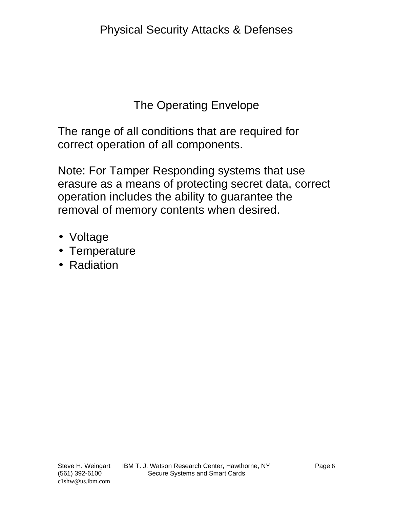#### The Operating Envelope

The range of all conditions that are required for correct operation of all components.

Note: For Tamper Responding systems that use erasure as a means of protecting secret data, correct operation includes the ability to guarantee the removal of memory contents when desired.

- Voltage
- Temperature
- Radiation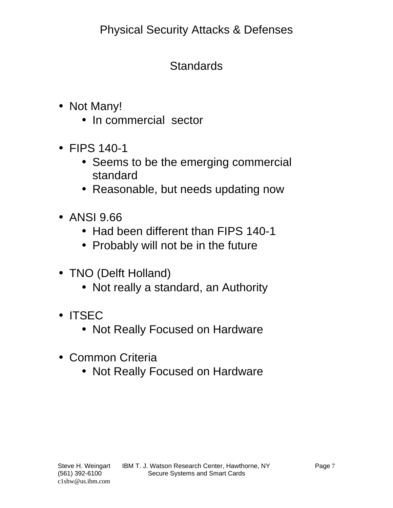# **Standards**

- Not Many!
	- In commercial sector
- FIPS 140-1
	- Seems to be the emerging commercial standard
	- Reasonable, but needs updating now
- ANSI 9.66
	- Had been different than FIPS 140-1
	- Probably will not be in the future
- TNO (Delft Holland)
	- Not really a standard, an Authority
- ITSEC
	- Not Really Focused on Hardware
- Common Criteria
	- Not Really Focused on Hardware